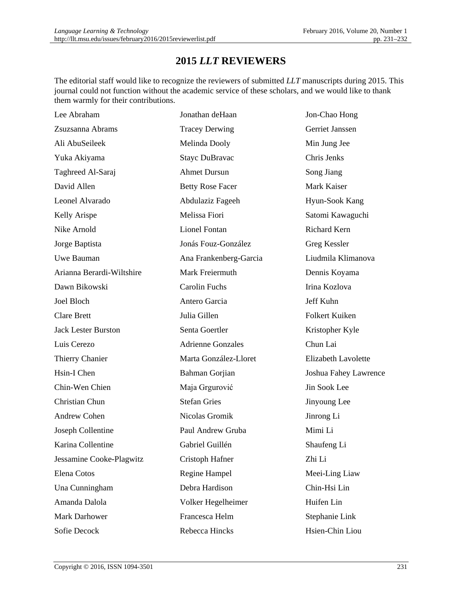## **2015** *LLT* **REVIEWERS**

The editorial staff would like to recognize the reviewers of submitted *LLT* manuscripts during 2015. This journal could not function without the academic service of these scholars, and we would like to thank them warmly for their contributions.

| Lee Abraham                | Jonathan deHaan          | Jon-Chao Hong              |
|----------------------------|--------------------------|----------------------------|
| Zsuzsanna Abrams           | <b>Tracey Derwing</b>    | <b>Gerriet Janssen</b>     |
| Ali AbuSeileek             | Melinda Dooly            | Min Jung Jee               |
| Yuka Akiyama               | <b>Stayc DuBravac</b>    | Chris Jenks                |
| Taghreed Al-Saraj          | <b>Ahmet Dursun</b>      | Song Jiang                 |
| David Allen                | <b>Betty Rose Facer</b>  | Mark Kaiser                |
| Leonel Alvarado            | Abdulaziz Fageeh         | Hyun-Sook Kang             |
| Kelly Arispe               | Melissa Fiori            | Satomi Kawaguchi           |
| Nike Arnold                | <b>Lionel Fontan</b>     | Richard Kern               |
| Jorge Baptista             | Jonás Fouz-González      | Greg Kessler               |
| Uwe Bauman                 | Ana Frankenberg-Garcia   | Liudmila Klimanova         |
| Arianna Berardi-Wiltshire  | Mark Freiermuth          | Dennis Koyama              |
| Dawn Bikowski              | <b>Carolin Fuchs</b>     | Irina Kozlova              |
| Joel Bloch                 | Antero Garcia            | Jeff Kuhn                  |
| <b>Clare Brett</b>         | Julia Gillen             | <b>Folkert Kuiken</b>      |
| <b>Jack Lester Burston</b> | Senta Goertler           | Kristopher Kyle            |
| Luis Cerezo                | <b>Adrienne Gonzales</b> | Chun Lai                   |
| Thierry Chanier            | Marta González-Lloret    | <b>Elizabeth Lavolette</b> |
| Hsin-I Chen                | Bahman Gorjian           | Joshua Fahey Lawrence      |
| Chin-Wen Chien             | Maja Grgurović           | Jin Sook Lee               |
| Christian Chun             | <b>Stefan Gries</b>      | Jinyoung Lee               |
| Andrew Cohen               | Nicolas Gromik           | Jinrong Li                 |
| Joseph Collentine          | Paul Andrew Gruba        | Mimi Li                    |
| Karina Collentine          | Gabriel Guillén          | Shaufeng Li                |
| Jessamine Cooke-Plagwitz   | Cristoph Hafner          | Zhi Li                     |
| Elena Cotos                | Regine Hampel            | Meei-Ling Liaw             |
| Una Cunningham             | Debra Hardison           | Chin-Hsi Lin               |
| Amanda Dalola              | Volker Hegelheimer       | Huifen Lin                 |
| Mark Darhower              | Francesca Helm           | Stephanie Link             |
| Sofie Decock               | Rebecca Hincks           | Hsien-Chin Liou            |